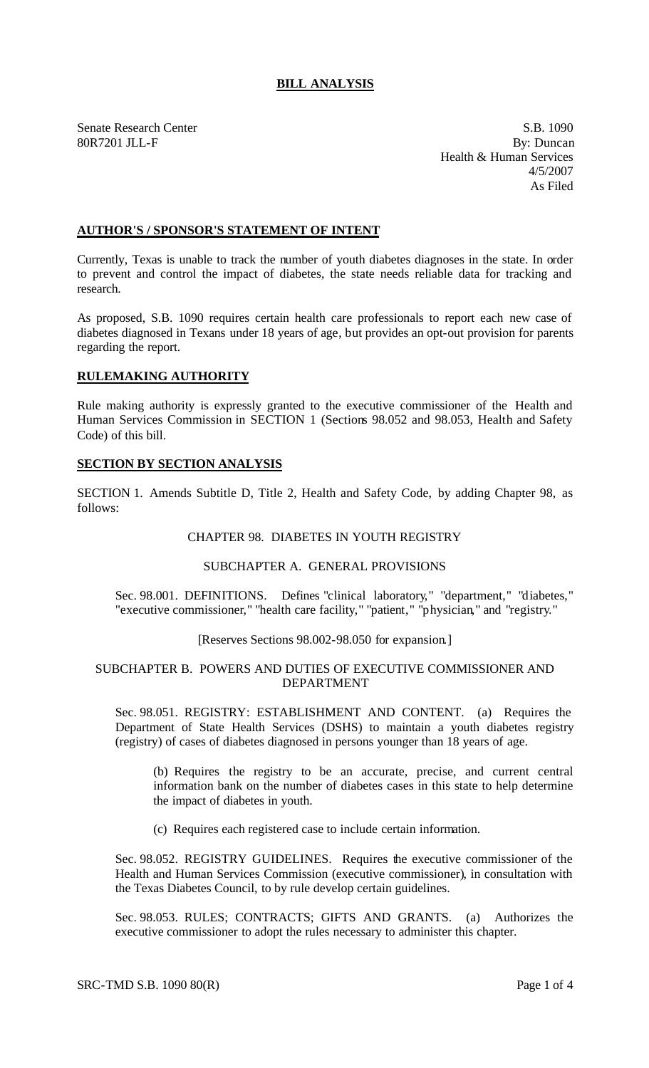# **BILL ANALYSIS**

Senate Research Center S.B. 1090 80R7201 JLL-F By: Duncan Health & Human Services 4/5/2007 As Filed

#### **AUTHOR'S / SPONSOR'S STATEMENT OF INTENT**

Currently, Texas is unable to track the number of youth diabetes diagnoses in the state. In order to prevent and control the impact of diabetes, the state needs reliable data for tracking and research.

As proposed, S.B. 1090 requires certain health care professionals to report each new case of diabetes diagnosed in Texans under 18 years of age, but provides an opt-out provision for parents regarding the report.

### **RULEMAKING AUTHORITY**

Rule making authority is expressly granted to the executive commissioner of the Health and Human Services Commission in SECTION 1 (Sections 98.052 and 98.053, Health and Safety Code) of this bill.

#### **SECTION BY SECTION ANALYSIS**

SECTION 1. Amends Subtitle D, Title 2, Health and Safety Code, by adding Chapter 98, as follows:

#### CHAPTER 98. DIABETES IN YOUTH REGISTRY

#### SUBCHAPTER A. GENERAL PROVISIONS

Sec. 98.001. DEFINITIONS. Defines "clinical laboratory," "department," "diabetes," "executive commissioner," "health care facility," "patient," "physician," and "registry."

## [Reserves Sections 98.002-98.050 for expansion]

#### SUBCHAPTER B. POWERS AND DUTIES OF EXECUTIVE COMMISSIONER AND DEPARTMENT

Sec. 98.051. REGISTRY: ESTABLISHMENT AND CONTENT. (a) Requires the Department of State Health Services (DSHS) to maintain a youth diabetes registry (registry) of cases of diabetes diagnosed in persons younger than 18 years of age.

(b) Requires the registry to be an accurate, precise, and current central information bank on the number of diabetes cases in this state to help determine the impact of diabetes in youth.

(c) Requires each registered case to include certain information.

Sec. 98.052. REGISTRY GUIDELINES. Requires the executive commissioner of the Health and Human Services Commission (executive commissioner), in consultation with the Texas Diabetes Council, to by rule develop certain guidelines.

Sec. 98.053. RULES; CONTRACTS; GIFTS AND GRANTS. (a) Authorizes the executive commissioner to adopt the rules necessary to administer this chapter.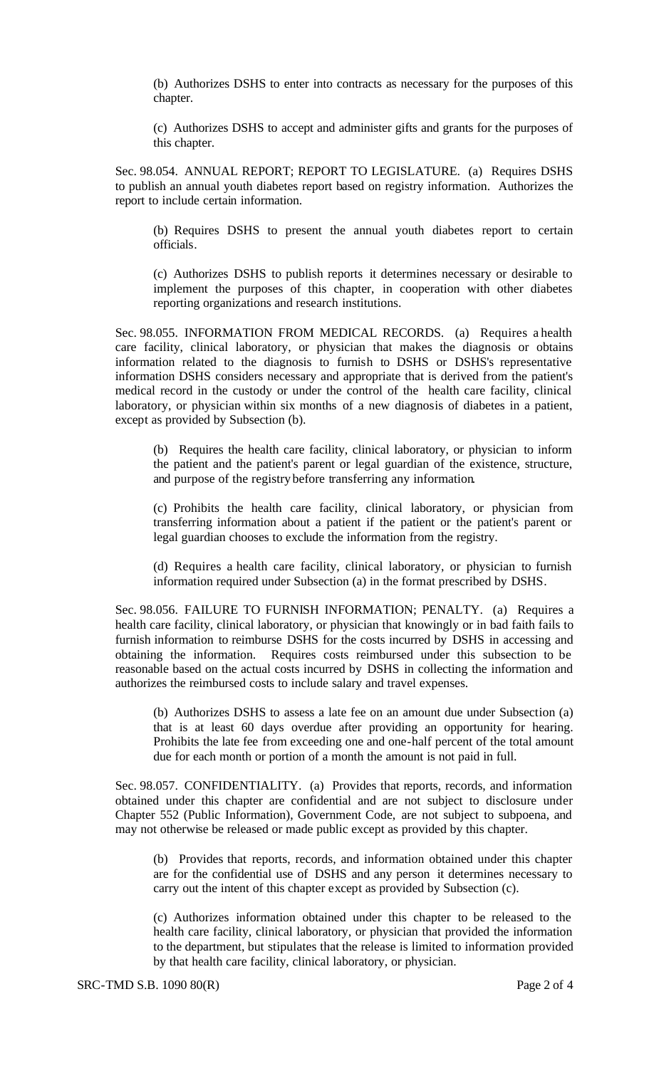(b) Authorizes DSHS to enter into contracts as necessary for the purposes of this chapter.

(c) Authorizes DSHS to accept and administer gifts and grants for the purposes of this chapter.

Sec. 98.054. ANNUAL REPORT; REPORT TO LEGISLATURE. (a) Requires DSHS to publish an annual youth diabetes report based on registry information. Authorizes the report to include certain information.

(b) Requires DSHS to present the annual youth diabetes report to certain officials.

(c) Authorizes DSHS to publish reports it determines necessary or desirable to implement the purposes of this chapter, in cooperation with other diabetes reporting organizations and research institutions.

Sec. 98.055. INFORMATION FROM MEDICAL RECORDS. (a) Requires a health care facility, clinical laboratory, or physician that makes the diagnosis or obtains information related to the diagnosis to furnish to DSHS or DSHS's representative information DSHS considers necessary and appropriate that is derived from the patient's medical record in the custody or under the control of the health care facility, clinical laboratory, or physician within six months of a new diagnosis of diabetes in a patient, except as provided by Subsection (b).

(b) Requires the health care facility, clinical laboratory, or physician to inform the patient and the patient's parent or legal guardian of the existence, structure, and purpose of the registry before transferring any information.

(c) Prohibits the health care facility, clinical laboratory, or physician from transferring information about a patient if the patient or the patient's parent or legal guardian chooses to exclude the information from the registry.

(d) Requires a health care facility, clinical laboratory, or physician to furnish information required under Subsection (a) in the format prescribed by DSHS.

Sec. 98.056. FAILURE TO FURNISH INFORMATION; PENALTY. (a) Requires a health care facility, clinical laboratory, or physician that knowingly or in bad faith fails to furnish information to reimburse DSHS for the costs incurred by DSHS in accessing and obtaining the information. Requires costs reimbursed under this subsection to be reasonable based on the actual costs incurred by DSHS in collecting the information and authorizes the reimbursed costs to include salary and travel expenses.

(b) Authorizes DSHS to assess a late fee on an amount due under Subsection (a) that is at least 60 days overdue after providing an opportunity for hearing. Prohibits the late fee from exceeding one and one-half percent of the total amount due for each month or portion of a month the amount is not paid in full.

Sec. 98.057. CONFIDENTIALITY. (a) Provides that reports, records, and information obtained under this chapter are confidential and are not subject to disclosure under Chapter 552 (Public Information), Government Code, are not subject to subpoena, and may not otherwise be released or made public except as provided by this chapter.

(b) Provides that reports, records, and information obtained under this chapter are for the confidential use of DSHS and any person it determines necessary to carry out the intent of this chapter except as provided by Subsection (c).

(c) Authorizes information obtained under this chapter to be released to the health care facility, clinical laboratory, or physician that provided the information to the department, but stipulates that the release is limited to information provided by that health care facility, clinical laboratory, or physician.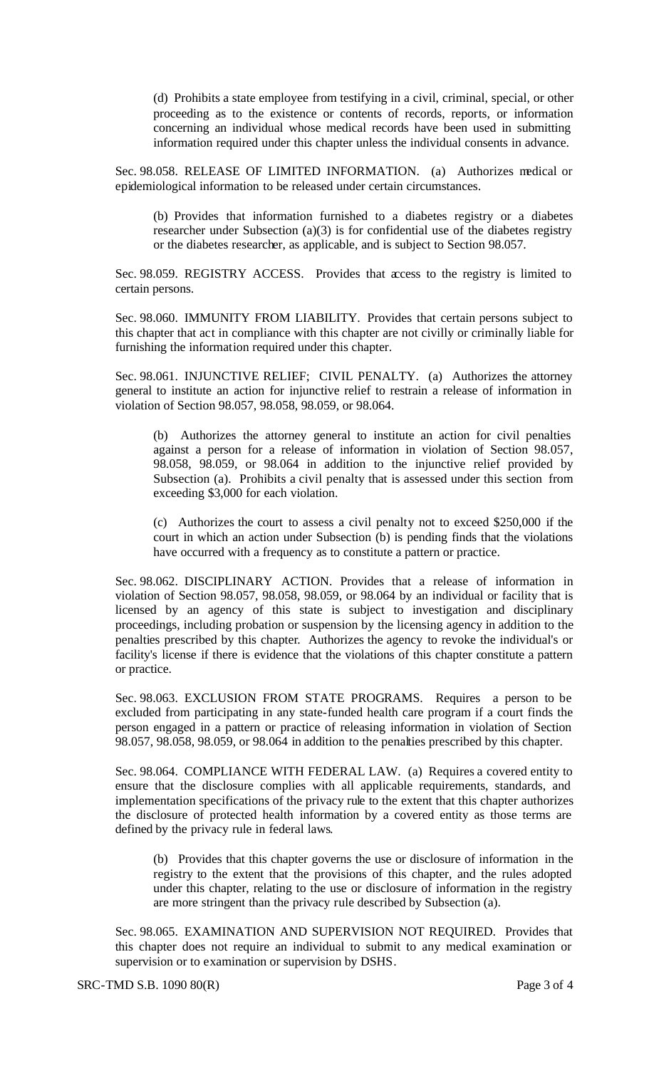(d) Prohibits a state employee from testifying in a civil, criminal, special, or other proceeding as to the existence or contents of records, reports, or information concerning an individual whose medical records have been used in submitting information required under this chapter unless the individual consents in advance.

Sec. 98.058. RELEASE OF LIMITED INFORMATION. (a) Authorizes medical or epidemiological information to be released under certain circumstances.

(b) Provides that information furnished to a diabetes registry or a diabetes researcher under Subsection (a)(3) is for confidential use of the diabetes registry or the diabetes researcher, as applicable, and is subject to Section 98.057.

Sec. 98.059. REGISTRY ACCESS. Provides that access to the registry is limited to certain persons.

Sec. 98.060. IMMUNITY FROM LIABILITY. Provides that certain persons subject to this chapter that act in compliance with this chapter are not civilly or criminally liable for furnishing the information required under this chapter.

Sec. 98.061. INJUNCTIVE RELIEF; CIVIL PENALTY. (a) Authorizes the attorney general to institute an action for injunctive relief to restrain a release of information in violation of Section 98.057, 98.058, 98.059, or 98.064.

(b) Authorizes the attorney general to institute an action for civil penalties against a person for a release of information in violation of Section 98.057, 98.058, 98.059, or 98.064 in addition to the injunctive relief provided by Subsection (a). Prohibits a civil penalty that is assessed under this section from exceeding \$3,000 for each violation.

(c) Authorizes the court to assess a civil penalty not to exceed \$250,000 if the court in which an action under Subsection (b) is pending finds that the violations have occurred with a frequency as to constitute a pattern or practice.

Sec. 98.062. DISCIPLINARY ACTION. Provides that a release of information in violation of Section 98.057, 98.058, 98.059, or 98.064 by an individual or facility that is licensed by an agency of this state is subject to investigation and disciplinary proceedings, including probation or suspension by the licensing agency in addition to the penalties prescribed by this chapter. Authorizes the agency to revoke the individual's or facility's license if there is evidence that the violations of this chapter constitute a pattern or practice.

Sec. 98.063. EXCLUSION FROM STATE PROGRAMS. Requires a person to be excluded from participating in any state-funded health care program if a court finds the person engaged in a pattern or practice of releasing information in violation of Section 98.057, 98.058, 98.059, or 98.064 in addition to the penalties prescribed by this chapter.

Sec. 98.064. COMPLIANCE WITH FEDERAL LAW. (a) Requires a covered entity to ensure that the disclosure complies with all applicable requirements, standards, and implementation specifications of the privacy rule to the extent that this chapter authorizes the disclosure of protected health information by a covered entity as those terms are defined by the privacy rule in federal laws.

(b) Provides that this chapter governs the use or disclosure of information in the registry to the extent that the provisions of this chapter, and the rules adopted under this chapter, relating to the use or disclosure of information in the registry are more stringent than the privacy rule described by Subsection (a).

Sec. 98.065. EXAMINATION AND SUPERVISION NOT REQUIRED. Provides that this chapter does not require an individual to submit to any medical examination or supervision or to examination or supervision by DSHS.